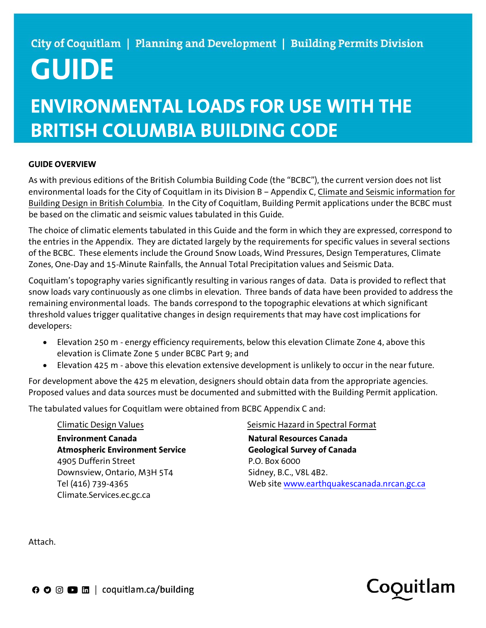# GUIDE

## ENVIRONMENTAL LOADS FOR USE WITH THE BRITISH COLUMBIA BUILDING CODE

### GUIDE OVERVIEW

As with previous editions of the British Columbia Building Code (the "BCBC"), the current version does not list environmental loads for the City of Coquitlam in its Division B – Appendix C, Climate and Seismic information for Building Design in British Columbia. In the City of Coquitlam, Building Permit applications under the BCBC must be based on the climatic and seismic values tabulated in this Guide.

The choice of climatic elements tabulated in this Guide and the form in which they are expressed, correspond to the entries in the Appendix. They are dictated largely by the requirements for specific values in several sections of the BCBC. These elements include the Ground Snow Loads, Wind Pressures, Design Temperatures, Climate Zones, One-Day and 15-Minute Rainfalls, the Annual Total Precipitation values and Seismic Data.

Coquitlam's topography varies significantly resulting in various ranges of data. Data is provided to reflect that snow loads vary continuously as one climbs in elevation. Three bands of data have been provided to address the remaining environmental loads. The bands correspond to the topographic elevations at which significant threshold values trigger qualitative changes in design requirements that may have cost implications for developers:

- Elevation 250 m energy efficiency requirements, below this elevation Climate Zone 4, above this elevation is Climate Zone 5 under BCBC Part 9; and
- Elevation 425 m above this elevation extensive development is unlikely to occur in the near future.

For development above the 425 m elevation, designers should obtain data from the appropriate agencies. Proposed values and data sources must be documented and submitted with the Building Permit application.

The tabulated values for Coquitlam were obtained from BCBC Appendix C and:

Environment Canada Atmospheric Environment Service 4905 Dufferin Street **P.O. Box 6000** Downsview, Ontario, M3H 5T4 Sidney, B.C., V8L 4B2. Tel (416) 739-4365 Climate.Services.ec.gc.ca

Climatic Design Values Seismic Hazard in Spectral Format

Natural Resources Canada Geological Survey of Canada Web site www.earthquakescanada.nrcan.gc.ca

Attach.